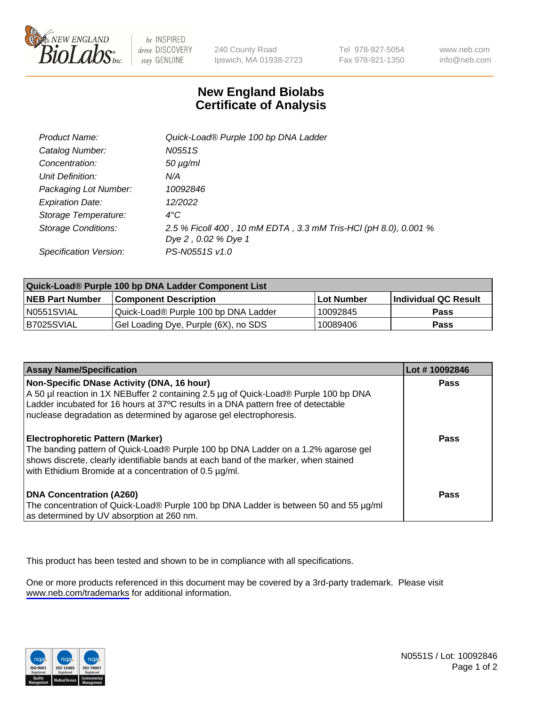

be INSPIRED drive DISCOVERY stay GENUINE

240 County Road Ipswich, MA 01938-2723 Tel 978-927-5054 Fax 978-921-1350

www.neb.com info@neb.com

## **New England Biolabs Certificate of Analysis**

| Product Name:           | Quick-Load® Purple 100 bp DNA Ladder                            |
|-------------------------|-----------------------------------------------------------------|
| Catalog Number:         | N0551S                                                          |
| Concentration:          | $50 \mu g/ml$                                                   |
| Unit Definition:        | N/A                                                             |
| Packaging Lot Number:   | 10092846                                                        |
| <b>Expiration Date:</b> | 12/2022                                                         |
| Storage Temperature:    | $4^{\circ}$ C                                                   |
| Storage Conditions:     | 2.5 % Ficoll 400, 10 mM EDTA, 3.3 mM Tris-HCl (pH 8.0), 0.001 % |
|                         | Dye 2, 0.02 % Dye 1                                             |
| Specification Version:  | PS-N0551S v1.0                                                  |

| Quick-Load® Purple 100 bp DNA Ladder Component List |                                      |              |                             |  |
|-----------------------------------------------------|--------------------------------------|--------------|-----------------------------|--|
| <b>NEB Part Number</b>                              | <b>Component Description</b>         | l Lot Number | <b>Individual QC Result</b> |  |
| IN0551SVIAL                                         | Quick-Load® Purple 100 bp DNA Ladder | 10092845     | <b>Pass</b>                 |  |
| I B7025SVIAL                                        | Gel Loading Dye, Purple (6X), no SDS | 10089406     | Pass                        |  |

| <b>Assay Name/Specification</b>                                                                                                                                                                                                                                                               | Lot #10092846 |
|-----------------------------------------------------------------------------------------------------------------------------------------------------------------------------------------------------------------------------------------------------------------------------------------------|---------------|
| Non-Specific DNase Activity (DNA, 16 hour)<br>A 50 µl reaction in 1X NEBuffer 2 containing 2.5 µg of Quick-Load® Purple 100 bp DNA<br>Ladder incubated for 16 hours at 37°C results in a DNA pattern free of detectable<br>nuclease degradation as determined by agarose gel electrophoresis. | Pass          |
| <b>Electrophoretic Pattern (Marker)</b><br>The banding pattern of Quick-Load® Purple 100 bp DNA Ladder on a 1.2% agarose gel<br>shows discrete, clearly identifiable bands at each band of the marker, when stained<br>with Ethidium Bromide at a concentration of 0.5 µg/ml.                 | Pass          |
| <b>DNA Concentration (A260)</b><br>The concentration of Quick-Load® Purple 100 bp DNA Ladder is between 50 and 55 µg/ml<br>as determined by UV absorption at 260 nm.                                                                                                                          | Pass          |

This product has been tested and shown to be in compliance with all specifications.

One or more products referenced in this document may be covered by a 3rd-party trademark. Please visit <www.neb.com/trademarks>for additional information.